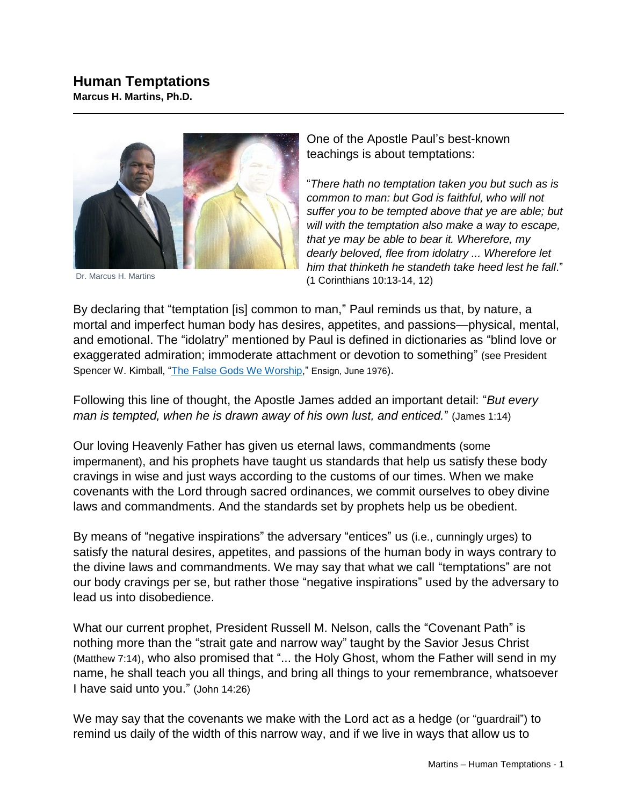

Dr. Marcus H. Martins

One of the Apostle Paul's best-known teachings is about temptations:

"*There hath no temptation taken you but such as is common to man: but God is faithful, who will not suffer you to be tempted above that ye are able; but will with the temptation also make a way to escape, that ye may be able to bear it. Wherefore, my dearly beloved, flee from idolatry ... Wherefore let him that thinketh he standeth take heed lest he fall*." (1 Corinthians 10:13-14, 12)

By declaring that "temptation [is] common to man," Paul reminds us that, by nature, a mortal and imperfect human body has desires, appetites, and passions—physical, mental, and emotional. The "idolatry" mentioned by Paul is defined in dictionaries as "blind love or exaggerated admiration; immoderate attachment or devotion to something" (see President Spencer W. Kimball, ["The False Gods We Worship,](https://www.churchofjesuschrist.org/study/ensign/1976/06/the-false-gods-we-worship?lang=eng)" Ensign, June 1976).

Following this line of thought, the Apostle James added an important detail: "*But every man is tempted, when he is drawn away of his own lust, and enticed.*" (James 1:14)

Our loving Heavenly Father has given us eternal laws, commandments (some impermanent), and his prophets have taught us standards that help us satisfy these body cravings in wise and just ways according to the customs of our times. When we make covenants with the Lord through sacred ordinances, we commit ourselves to obey divine laws and commandments. And the standards set by prophets help us be obedient.

By means of "negative inspirations" the adversary "entices" us (i.e., cunningly urges) to satisfy the natural desires, appetites, and passions of the human body in ways contrary to the divine laws and commandments. We may say that what we call "temptations" are not our body cravings per se, but rather those "negative inspirations" used by the adversary to lead us into disobedience.

What our current prophet, President Russell M. Nelson, calls the "Covenant Path" is nothing more than the "strait gate and narrow way" taught by the Savior Jesus Christ (Matthew 7:14), who also promised that "... the Holy Ghost, whom the Father will send in my name, he shall teach you all things, and bring all things to your remembrance, whatsoever I have said unto you." (John 14:26)

We may say that the covenants we make with the Lord act as a hedge (or "guardrail") to remind us daily of the width of this narrow way, and if we live in ways that allow us to